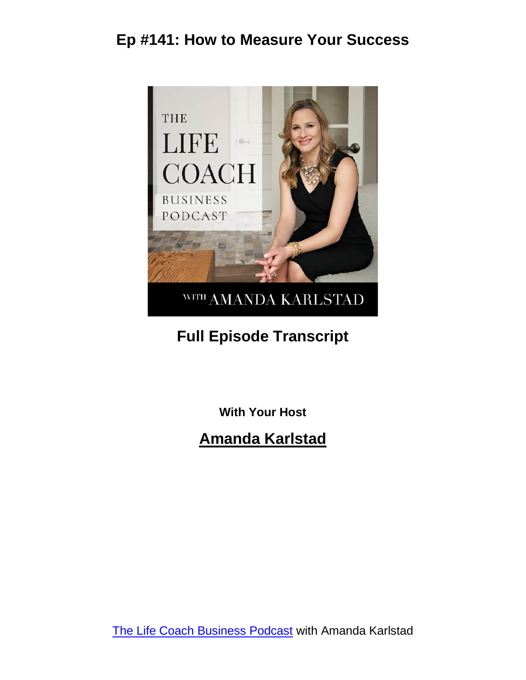

# **Full Episode Transcript**

**With Your Host**

#### **Amanda Karlstad**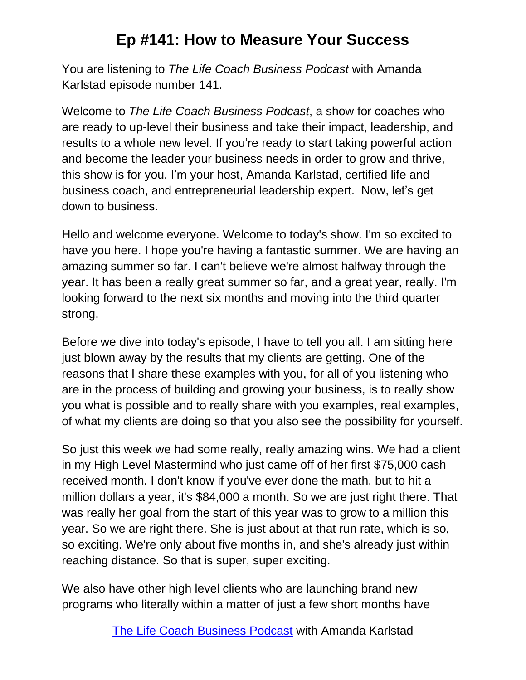You are listening to *The Life Coach Business Podcast* with Amanda Karlstad episode number 141.

Welcome to *The Life Coach Business Podcast*, a show for coaches who are ready to up-level their business and take their impact, leadership, and results to a whole new level. If you're ready to start taking powerful action and become the leader your business needs in order to grow and thrive, this show is for you. I'm your host, Amanda Karlstad, certified life and business coach, and entrepreneurial leadership expert. Now, let's get down to business.

Hello and welcome everyone. Welcome to today's show. I'm so excited to have you here. I hope you're having a fantastic summer. We are having an amazing summer so far. I can't believe we're almost halfway through the year. It has been a really great summer so far, and a great year, really. I'm looking forward to the next six months and moving into the third quarter strong.

Before we dive into today's episode, I have to tell you all. I am sitting here just blown away by the results that my clients are getting. One of the reasons that I share these examples with you, for all of you listening who are in the process of building and growing your business, is to really show you what is possible and to really share with you examples, real examples, of what my clients are doing so that you also see the possibility for yourself.

So just this week we had some really, really amazing wins. We had a client in my High Level Mastermind who just came off of her first \$75,000 cash received month. I don't know if you've ever done the math, but to hit a million dollars a year, it's \$84,000 a month. So we are just right there. That was really her goal from the start of this year was to grow to a million this year. So we are right there. She is just about at that run rate, which is so, so exciting. We're only about five months in, and she's already just within reaching distance. So that is super, super exciting.

We also have other high level clients who are launching brand new programs who literally within a matter of just a few short months have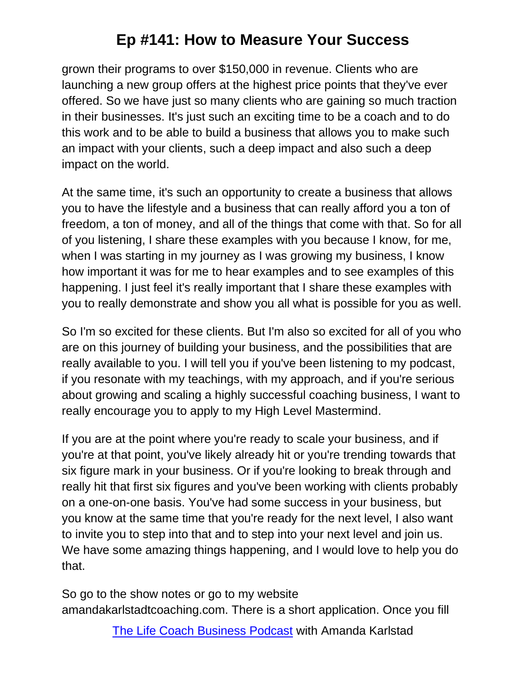grown their programs to over \$150,000 in revenue. Clients who are launching a new group offers at the highest price points that they've ever offered. So we have just so many clients who are gaining so much traction in their businesses. It's just such an exciting time to be a coach and to do this work and to be able to build a business that allows you to make such an impact with your clients, such a deep impact and also such a deep impact on the world.

At the same time, it's such an opportunity to create a business that allows you to have the lifestyle and a business that can really afford you a ton of freedom, a ton of money, and all of the things that come with that. So for all of you listening, I share these examples with you because I know, for me, when I was starting in my journey as I was growing my business, I know how important it was for me to hear examples and to see examples of this happening. I just feel it's really important that I share these examples with you to really demonstrate and show you all what is possible for you as well.

So I'm so excited for these clients. But I'm also so excited for all of you who are on this journey of building your business, and the possibilities that are really available to you. I will tell you if you've been listening to my podcast, if you resonate with my teachings, with my approach, and if you're serious about growing and scaling a highly successful coaching business, I want to really encourage you to apply to my High Level Mastermind.

If you are at the point where you're ready to scale your business, and if you're at that point, you've likely already hit or you're trending towards that six figure mark in your business. Or if you're looking to break through and really hit that first six figures and you've been working with clients probably on a one-on-one basis. You've had some success in your business, but you know at the same time that you're ready for the next level, I also want to invite you to step into that and to step into your next level and join us. We have some amazing things happening, and I would love to help you do that.

So go to the show notes or go to my website amandakarlstadtcoaching.com. There is a short application. Once you fill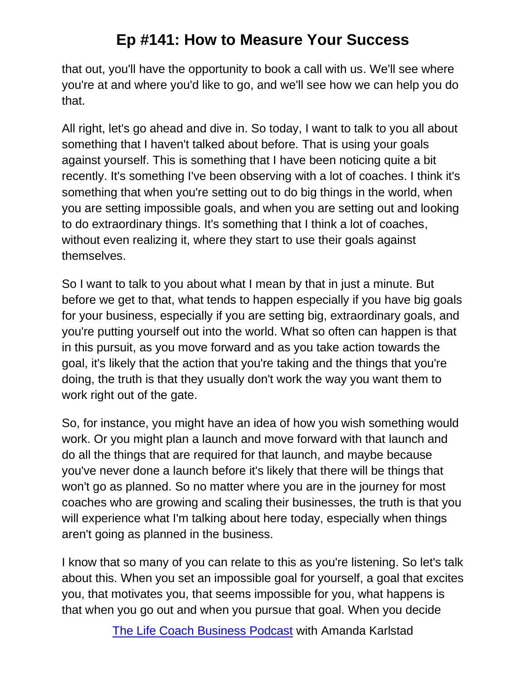that out, you'll have the opportunity to book a call with us. We'll see where you're at and where you'd like to go, and we'll see how we can help you do that.

All right, let's go ahead and dive in. So today, I want to talk to you all about something that I haven't talked about before. That is using your goals against yourself. This is something that I have been noticing quite a bit recently. It's something I've been observing with a lot of coaches. I think it's something that when you're setting out to do big things in the world, when you are setting impossible goals, and when you are setting out and looking to do extraordinary things. It's something that I think a lot of coaches, without even realizing it, where they start to use their goals against themselves.

So I want to talk to you about what I mean by that in just a minute. But before we get to that, what tends to happen especially if you have big goals for your business, especially if you are setting big, extraordinary goals, and you're putting yourself out into the world. What so often can happen is that in this pursuit, as you move forward and as you take action towards the goal, it's likely that the action that you're taking and the things that you're doing, the truth is that they usually don't work the way you want them to work right out of the gate.

So, for instance, you might have an idea of how you wish something would work. Or you might plan a launch and move forward with that launch and do all the things that are required for that launch, and maybe because you've never done a launch before it's likely that there will be things that won't go as planned. So no matter where you are in the journey for most coaches who are growing and scaling their businesses, the truth is that you will experience what I'm talking about here today, especially when things aren't going as planned in the business.

I know that so many of you can relate to this as you're listening. So let's talk about this. When you set an impossible goal for yourself, a goal that excites you, that motivates you, that seems impossible for you, what happens is that when you go out and when you pursue that goal. When you decide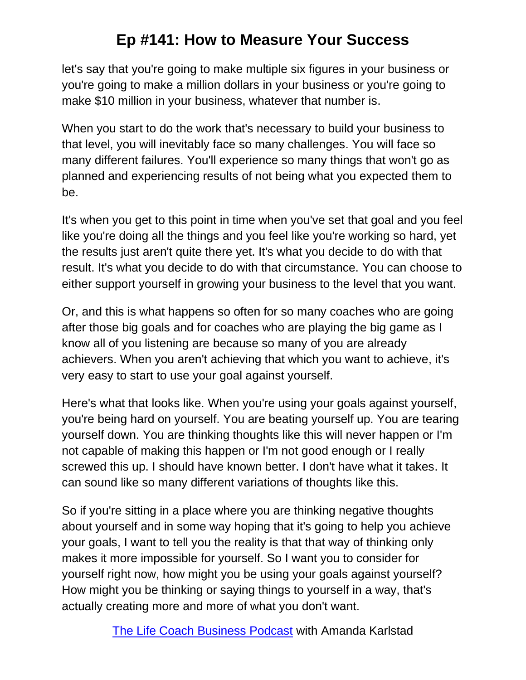let's say that you're going to make multiple six figures in your business or you're going to make a million dollars in your business or you're going to make \$10 million in your business, whatever that number is.

When you start to do the work that's necessary to build your business to that level, you will inevitably face so many challenges. You will face so many different failures. You'll experience so many things that won't go as planned and experiencing results of not being what you expected them to be.

It's when you get to this point in time when you've set that goal and you feel like you're doing all the things and you feel like you're working so hard, yet the results just aren't quite there yet. It's what you decide to do with that result. It's what you decide to do with that circumstance. You can choose to either support yourself in growing your business to the level that you want.

Or, and this is what happens so often for so many coaches who are going after those big goals and for coaches who are playing the big game as I know all of you listening are because so many of you are already achievers. When you aren't achieving that which you want to achieve, it's very easy to start to use your goal against yourself.

Here's what that looks like. When you're using your goals against yourself, you're being hard on yourself. You are beating yourself up. You are tearing yourself down. You are thinking thoughts like this will never happen or I'm not capable of making this happen or I'm not good enough or I really screwed this up. I should have known better. I don't have what it takes. It can sound like so many different variations of thoughts like this.

So if you're sitting in a place where you are thinking negative thoughts about yourself and in some way hoping that it's going to help you achieve your goals, I want to tell you the reality is that that way of thinking only makes it more impossible for yourself. So I want you to consider for yourself right now, how might you be using your goals against yourself? How might you be thinking or saying things to yourself in a way, that's actually creating more and more of what you don't want.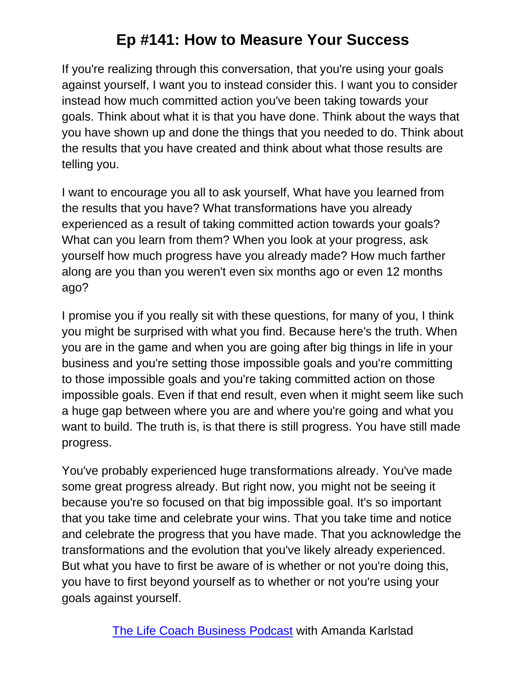If you're realizing through this conversation, that you're using your goals against yourself, I want you to instead consider this. I want you to consider instead how much committed action you've been taking towards your goals. Think about what it is that you have done. Think about the ways that you have shown up and done the things that you needed to do. Think about the results that you have created and think about what those results are telling you.

I want to encourage you all to ask yourself, What have you learned from the results that you have? What transformations have you already experienced as a result of taking committed action towards your goals? What can you learn from them? When you look at your progress, ask yourself how much progress have you already made? How much farther along are you than you weren't even six months ago or even 12 months ago?

I promise you if you really sit with these questions, for many of you, I think you might be surprised with what you find. Because here's the truth. When you are in the game and when you are going after big things in life in your business and you're setting those impossible goals and you're committing to those impossible goals and you're taking committed action on those impossible goals. Even if that end result, even when it might seem like such a huge gap between where you are and where you're going and what you want to build. The truth is, is that there is still progress. You have still made progress.

You've probably experienced huge transformations already. You've made some great progress already. But right now, you might not be seeing it because you're so focused on that big impossible goal. It's so important that you take time and celebrate your wins. That you take time and notice and celebrate the progress that you have made. That you acknowledge the transformations and the evolution that you've likely already experienced. But what you have to first be aware of is whether or not you're doing this, you have to first beyond yourself as to whether or not you're using your goals against yourself.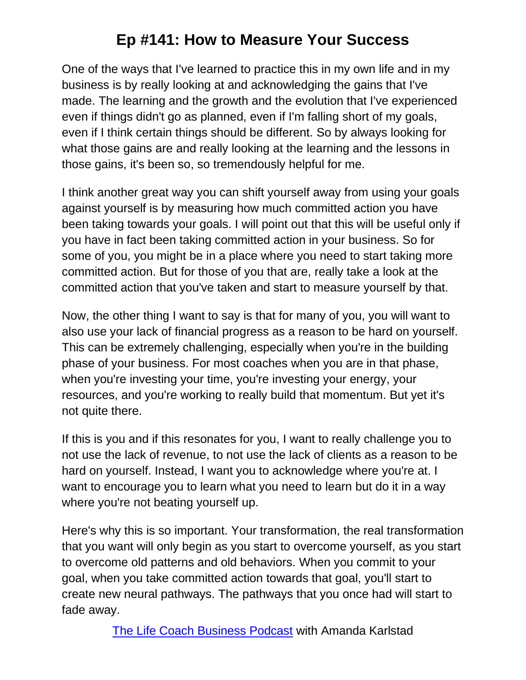One of the ways that I've learned to practice this in my own life and in my business is by really looking at and acknowledging the gains that I've made. The learning and the growth and the evolution that I've experienced even if things didn't go as planned, even if I'm falling short of my goals, even if I think certain things should be different. So by always looking for what those gains are and really looking at the learning and the lessons in those gains, it's been so, so tremendously helpful for me.

I think another great way you can shift yourself away from using your goals against yourself is by measuring how much committed action you have been taking towards your goals. I will point out that this will be useful only if you have in fact been taking committed action in your business. So for some of you, you might be in a place where you need to start taking more committed action. But for those of you that are, really take a look at the committed action that you've taken and start to measure yourself by that.

Now, the other thing I want to say is that for many of you, you will want to also use your lack of financial progress as a reason to be hard on yourself. This can be extremely challenging, especially when you're in the building phase of your business. For most coaches when you are in that phase, when you're investing your time, you're investing your energy, your resources, and you're working to really build that momentum. But yet it's not quite there.

If this is you and if this resonates for you, I want to really challenge you to not use the lack of revenue, to not use the lack of clients as a reason to be hard on yourself. Instead, I want you to acknowledge where you're at. I want to encourage you to learn what you need to learn but do it in a way where you're not beating yourself up.

Here's why this is so important. Your transformation, the real transformation that you want will only begin as you start to overcome yourself, as you start to overcome old patterns and old behaviors. When you commit to your goal, when you take committed action towards that goal, you'll start to create new neural pathways. The pathways that you once had will start to fade away.